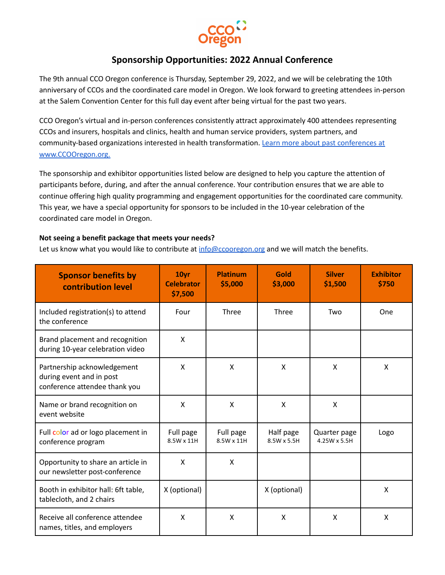

# **Sponsorship Opportunities: 2022 Annual Conference**

The 9th annual CCO Oregon conference is Thursday, September 29, 2022, and we will be celebrating the 10th anniversary of CCOs and the coordinated care model in Oregon. We look forward to greeting attendees in-person at the Salem Convention Center for this full day event after being virtual for the past two years.

CCO Oregon's virtual and in-person conferences consistently attract approximately 400 attendees representing CCOs and insurers, hospitals and clinics, health and human service providers, system partners, and community-based organizations interested in health transformation. Learn more about past [conferences](https://ccooregon.org/annual-conference/) at [www.CCOOregon.org.](https://ccooregon.org/annual-conference/)

The sponsorship and exhibitor opportunities listed below are designed to help you capture the attention of participants before, during, and after the annual conference. Your contribution ensures that we are able to continue offering high quality programming and engagement opportunities for the coordinated care community. This year, we have a special opportunity for sponsors to be included in the 10-year celebration of the coordinated care model in Oregon.

## **Not seeing a benefit package that meets your needs?**

Let us know what you would like to contribute at [info@ccooregon.org](mailto:info@ccooregon.org) and we will match the benefits.

| <b>Sponsor benefits by</b><br>contribution level                                         | 10yr<br><b>Celebrator</b><br>\$7,500 | <b>Platinum</b><br>\$5,000 | Gold<br>\$3,000          | <b>Silver</b><br>\$1,500     | <b>Exhibitor</b><br>\$750 |
|------------------------------------------------------------------------------------------|--------------------------------------|----------------------------|--------------------------|------------------------------|---------------------------|
| Included registration(s) to attend<br>the conference                                     | Four                                 | Three                      | Three                    | Two                          | One                       |
| Brand placement and recognition<br>during 10-year celebration video                      | X                                    |                            |                          |                              |                           |
| Partnership acknowledgement<br>during event and in post<br>conference attendee thank you | X                                    | X                          | X                        | $\mathsf{x}$                 | $\mathsf{x}$              |
| Name or brand recognition on<br>event website                                            | X                                    | X                          | X                        | X                            |                           |
| Full color ad or logo placement in<br>conference program                                 | Full page<br>8.5W x 11H              | Full page<br>8.5W x 11H    | Half page<br>8.5W x 5.5H | Quarter page<br>4.25W x 5.5H | Logo                      |
| Opportunity to share an article in<br>our newsletter post-conference                     | X                                    | X                          |                          |                              |                           |
| Booth in exhibitor hall: 6ft table,<br>tablecloth, and 2 chairs                          | X (optional)                         |                            | X (optional)             |                              | X                         |
| Receive all conference attendee<br>names, titles, and employers                          | X                                    | X                          | X                        | X                            | X                         |